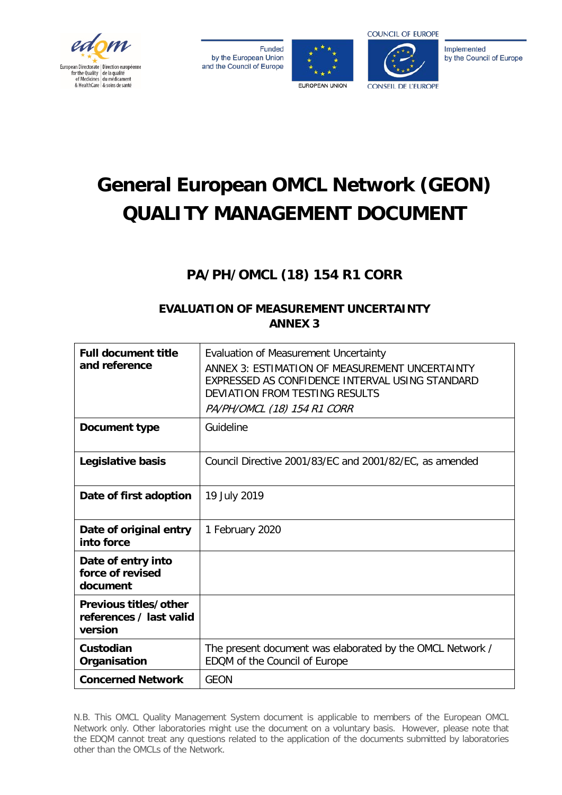

**Funded** by the European Union and the Council of Europe





Implemented by the Council of Europe

# **General European OMCL Network (GEON) QUALITY MANAGEMENT DOCUMENT**

# **PA/PH/OMCL (18) 154 R1 CORR**

# **EVALUATION OF MEASUREMENT UNCERTAINTY ANNEX 3**

| <b>Full document title</b><br>and reference                 | Evaluation of Measurement Uncertainty<br>ANNEX 3: ESTIMATION OF MEASUREMENT UNCERTAINTY<br>EXPRESSED AS CONFIDENCE INTERVAL USING STANDARD<br>DEVIATION FROM TESTING RESULTS<br>PA/PH/OMCL (18) 154 R1 CORR |
|-------------------------------------------------------------|-------------------------------------------------------------------------------------------------------------------------------------------------------------------------------------------------------------|
| <b>Document type</b>                                        | Guideline                                                                                                                                                                                                   |
| Legislative basis                                           | Council Directive 2001/83/EC and 2001/82/EC, as amended                                                                                                                                                     |
| Date of first adoption                                      | 19 July 2019                                                                                                                                                                                                |
| Date of original entry<br>into force                        | 1 February 2020                                                                                                                                                                                             |
| Date of entry into<br>force of revised<br>document          |                                                                                                                                                                                                             |
| Previous titles/other<br>references / last valid<br>version |                                                                                                                                                                                                             |
| Custodian<br>Organisation                                   | The present document was elaborated by the OMCL Network /<br>EDQM of the Council of Europe                                                                                                                  |
| <b>Concerned Network</b>                                    | <b>GEON</b>                                                                                                                                                                                                 |

N.B. This OMCL Quality Management System document is applicable to members of the European OMCL Network only. Other laboratories might use the document on a voluntary basis. However, please note that the EDQM cannot treat any questions related to the application of the documents submitted by laboratories other than the OMCLs of the Network.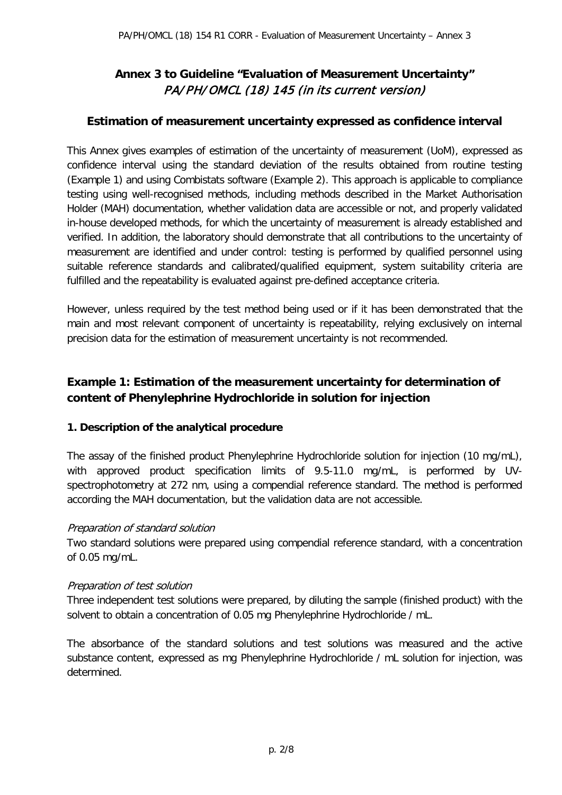# **Annex 3 to Guideline "Evaluation of Measurement Uncertainty"**  PA/PH/OMCL (18) 145 (in its current version)

#### **Estimation of measurement uncertainty expressed as confidence interval**

This Annex gives examples of estimation of the uncertainty of measurement (UoM), expressed as confidence interval using the standard deviation of the results obtained from routine testing (Example 1) and using Combistats software (Example 2). This approach is applicable to compliance testing using well-recognised methods, including methods described in the Market Authorisation Holder (MAH) documentation, whether validation data are accessible or not, and properly validated in-house developed methods, for which the uncertainty of measurement is already established and verified. In addition, the laboratory should demonstrate that all contributions to the uncertainty of measurement are identified and under control: testing is performed by qualified personnel using suitable reference standards and calibrated/qualified equipment, system suitability criteria are fulfilled and the repeatability is evaluated against pre-defined acceptance criteria.

However, unless required by the test method being used or if it has been demonstrated that the main and most relevant component of uncertainty is repeatability, relying exclusively on internal precision data for the estimation of measurement uncertainty is not recommended.

# **Example 1: Estimation of the measurement uncertainty for determination of content of Phenylephrine Hydrochloride in solution for injection**

#### **1. Description of the analytical procedure**

The assay of the finished product Phenylephrine Hydrochloride solution for injection (10 mg/mL), with approved product specification limits of 9.5-11.0 mg/mL, is performed by UVspectrophotometry at 272 nm, using a compendial reference standard. The method is performed according the MAH documentation, but the validation data are not accessible.

#### Preparation of standard solution

Two standard solutions were prepared using compendial reference standard, with a concentration of 0.05 mg/mL.

#### Preparation of test solution

Three independent test solutions were prepared, by diluting the sample (finished product) with the solvent to obtain a concentration of 0.05 mg Phenylephrine Hydrochloride / mL.

The absorbance of the standard solutions and test solutions was measured and the active substance content, expressed as mg Phenylephrine Hydrochloride / mL solution for injection, was determined.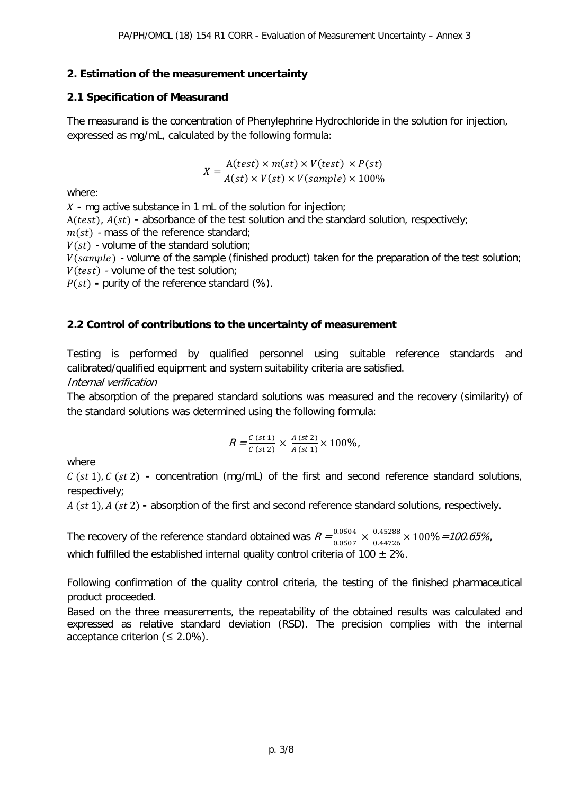#### **2. Estimation of the measurement uncertainty**

#### **2.1 Specification of Measurand**

The measurand is the concentration of Phenylephrine Hydrochloride in the solution for injection, expressed as mg/mL, calculated by the following formula:

$$
X = \frac{A(test) \times m(st) \times V(test) \times P(st)}{A(st) \times V(st) \times V(sample) \times 100\%}
$$

where:

**-** mg active substance in 1 mL of the solution for injection;

A(test),  $A(st)$  - absorbance of the test solution and the standard solution, respectively;

 $m(st)$  - mass of the reference standard;

 $V(st)$  - volume of the standard solution;

 $V(sample)$  - volume of the sample (finished product) taken for the preparation of the test solution;  $V(test)$  - volume of the test solution;

 $P(st)$  - purity of the reference standard  $(\%)$ .

#### **2.2 Control of contributions to the uncertainty of measurement**

Testing is performed by qualified personnel using suitable reference standards and calibrated/qualified equipment and system suitability criteria are satisfied.

Internal verification

The absorption of the prepared standard solutions was measured and the recovery (similarity) of the standard solutions was determined using the following formula:

$$
R = \frac{c (st 1)}{c (st 2)} \times \frac{A (st 2)}{A (st 1)} \times 100\%,
$$

where

 ( 1), ( 2) **-** concentration (mg/mL) of the first and second reference standard solutions, respectively;

A (st 1), A (st 2) - absorption of the first and second reference standard solutions, respectively.

The recovery of the reference standard obtained was  $R = \frac{0.0504}{0.0507} \times \frac{0.45288}{0.44726}$  $\frac{0.43288}{0.44726} \times 100\% = 100.65\%$ which fulfilled the established internal quality control criteria of 100  $\pm$  2%.

Following confirmation of the quality control criteria, the testing of the finished pharmaceutical product proceeded.

Based on the three measurements, the repeatability of the obtained results was calculated and expressed as relative standard deviation (RSD). The precision complies with the internal acceptance criterion ( $\leq 2.0\%$ ).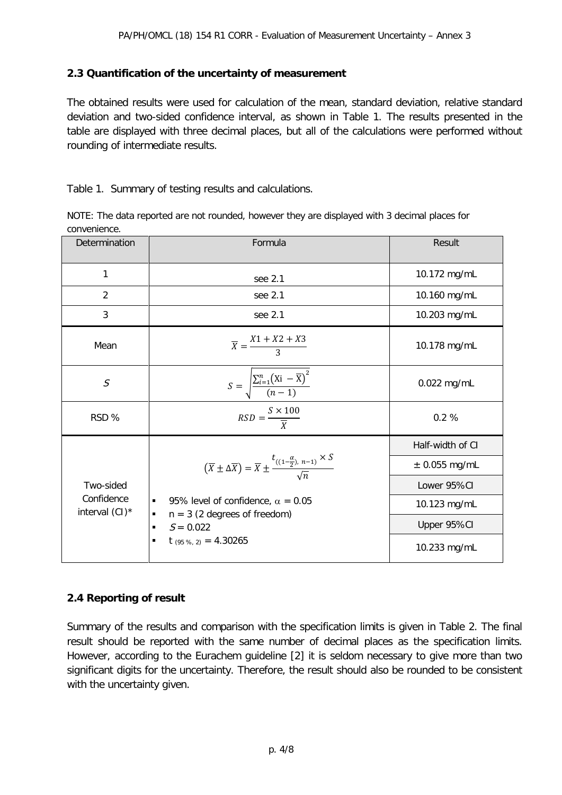#### **2.3 Quantification of the uncertainty of measurement**

The obtained results were used for calculation of the mean, standard deviation, relative standard deviation and two-sided confidence interval, as shown in Table 1. The results presented in the table are displayed with three decimal places, but all of the calculations were performed without rounding of intermediate results.

Table 1. Summary of testing results and calculations.

| NOTE: The data reported are not rounded, however they are displayed with 3 decimal places for |  |  |  |
|-----------------------------------------------------------------------------------------------|--|--|--|
| convenience.                                                                                  |  |  |  |

| Determination                | Formula                                                                                                               | Result            |  |  |
|------------------------------|-----------------------------------------------------------------------------------------------------------------------|-------------------|--|--|
| 1                            | see 2.1                                                                                                               | 10.172 mg/mL      |  |  |
| $\overline{2}$               | see 2.1                                                                                                               | 10.160 mg/mL      |  |  |
| 3                            | see 2.1                                                                                                               | 10.203 mg/mL      |  |  |
| Mean                         | $\overline{X} = \frac{X1 + X2 + X3}{3}$                                                                               | 10.178 mg/mL      |  |  |
| $\mathcal{S}$                | $S = \sqrt{\frac{\sum_{i=1}^{n} (X_i - \overline{X})^2}{(n-1)}}$                                                      | 0.022 mg/mL       |  |  |
| RSD %                        | $RSD = \frac{S \times 100}{\overline{x}}$                                                                             | 0.2%              |  |  |
|                              |                                                                                                                       | Half-width of CI  |  |  |
|                              | $(\overline{X} \pm \Delta \overline{X}) = \overline{X} \pm \frac{t_{((1-\frac{\alpha}{2}), n-1)} \times S}{\sqrt{n}}$ | $\pm$ 0.055 mg/mL |  |  |
| Two-sided                    |                                                                                                                       | Lower 95%CI       |  |  |
| Confidence<br>interval (CI)* | 95% level of confidence, $\alpha = 0.05$                                                                              | 10.123 mg/mL      |  |  |
|                              | $n = 3$ (2 degrees of freedom)<br>٠<br>$S = 0.022$                                                                    | Upper 95%CI       |  |  |
|                              | $t$ (95 %, 2) = 4.30265<br>п                                                                                          | 10.233 mg/mL      |  |  |

#### **2.4 Reporting of result**

Summary of the results and comparison with the specification limits is given in Table 2. The final result should be reported with the same number of decimal places as the specification limits. However, according to the Eurachem guideline [2] it is seldom necessary to give more than two significant digits for the uncertainty. Therefore, the result should also be rounded to be consistent with the uncertainty given.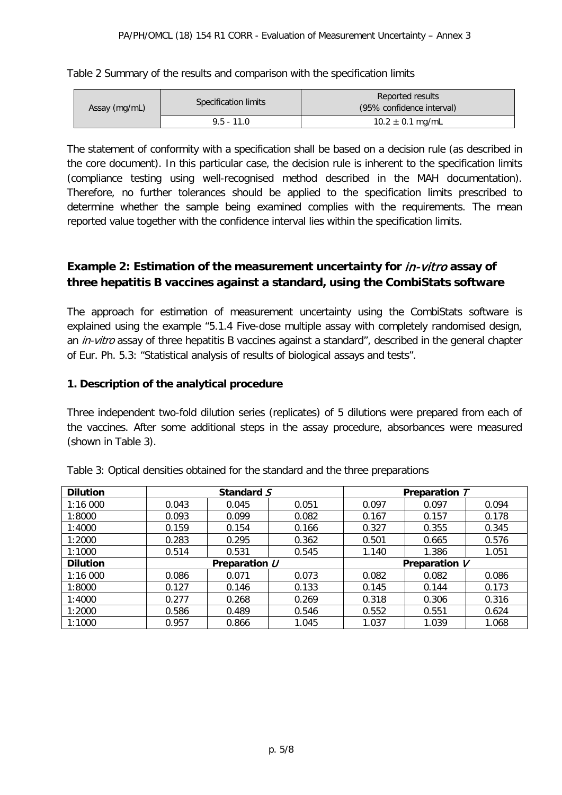| Table 2 Summary of the results and comparison with the specification limits |  |  |
|-----------------------------------------------------------------------------|--|--|
|-----------------------------------------------------------------------------|--|--|

| Assay (mg/mL) | Specification limits | Reported results<br>(95% confidence interval) |
|---------------|----------------------|-----------------------------------------------|
|               | $9.5 - 11.0$         | $10.2 \pm 0.1$ mg/mL                          |

The statement of conformity with a specification shall be based on a decision rule (as described in the core document). In this particular case, the decision rule is inherent to the specification limits (compliance testing using well-recognised method described in the MAH documentation). Therefore, no further tolerances should be applied to the specification limits prescribed to determine whether the sample being examined complies with the requirements. The mean reported value together with the confidence interval lies within the specification limits.

# **Example 2: Estimation of the measurement uncertainty for** in-vitro **assay of three hepatitis B vaccines against a standard, using the CombiStats software**

The approach for estimation of measurement uncertainty using the CombiStats software is explained using the example "5.1.4 Five-dose multiple assay with completely randomised design, an *in-vitro* assay of three hepatitis B vaccines against a standard", described in the general chapter of Eur. Ph. 5.3: "Statistical analysis of results of biological assays and tests".

#### **1. Description of the analytical procedure**

Three independent two-fold dilution series (replicates) of 5 dilutions were prepared from each of the vaccines. After some additional steps in the assay procedure, absorbances were measured (shown in Table 3).

| <b>Dilution</b> |       | Standard S                     |       | Preparation T |       |       |  |  |
|-----------------|-------|--------------------------------|-------|---------------|-------|-------|--|--|
| 1:16 000        | 0.043 | 0.045                          | 0.051 | 0.097         | 0.097 | 0.094 |  |  |
| 1:8000          | 0.093 | 0.099                          | 0.082 | 0.167         | 0.157 | 0.178 |  |  |
| 1:4000          | 0.159 | 0.154                          | 0.166 | 0.327         |       | 0.345 |  |  |
| 1:2000          | 0.283 | 0.295                          | 0.362 | 0.501         | 0.665 | 0.576 |  |  |
| 1:1000          | 0.514 | 0.531                          | 0.545 | 1.140         | 1.386 | 1.051 |  |  |
| <b>Dilution</b> |       | Preparation U<br>Preparation V |       |               |       |       |  |  |
| 1:16 000        | 0.086 | 0.071                          | 0.073 | 0.082         | 0.082 | 0.086 |  |  |
| 1:8000          | 0.127 | 0.146                          | 0.133 | 0.145         | 0.144 | 0.173 |  |  |
| 1:4000          | 0.277 | 0.268                          | 0.269 | 0.318         | 0.306 | 0.316 |  |  |
| 1:2000          | 0.586 | 0.489                          | 0.546 | 0.552         | 0.551 | 0.624 |  |  |
| 1:1000          | 0.957 | 0.866                          | 1.045 | 1.037         | 1.039 | 1.068 |  |  |

|  |  | Table 3: Optical densities obtained for the standard and the three preparations |  |  |
|--|--|---------------------------------------------------------------------------------|--|--|
|--|--|---------------------------------------------------------------------------------|--|--|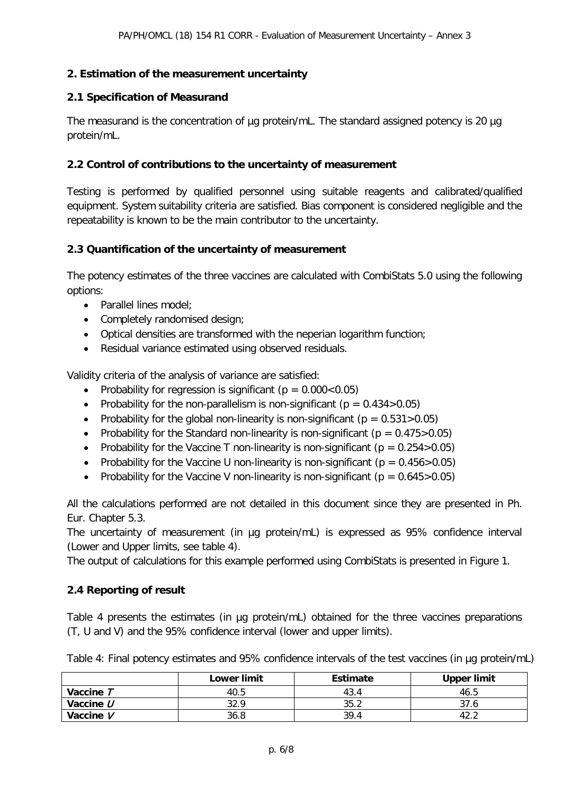#### **2. Estimation of the measurement uncertainty**

#### **2.1 Specification of Measurand**

The measurand is the concentration of µg protein/mL. The standard assigned potency is 20 µg protein/mL.

#### **2.2 Control of contributions to the uncertainty of measurement**

Testing is performed by qualified personnel using suitable reagents and calibrated/qualified equipment. System suitability criteria are satisfied. Bias component is considered negligible and the repeatability is known to be the main contributor to the uncertainty.

#### **2.3 Quantification of the uncertainty of measurement**

The potency estimates of the three vaccines are calculated with CombiStats 5.0 using the following options:

- Parallel lines model;
- Completely randomised design;
- Optical densities are transformed with the neperian logarithm function;
- Residual variance estimated using observed residuals.

Validity criteria of the analysis of variance are satisfied:

- Probability for regression is significant ( $p = 0.000 < 0.05$ )
- Probability for the non-parallelism is non-significant ( $p = 0.434 > 0.05$ )
- Probability for the global non-linearity is non-significant ( $p = 0.531 > 0.05$ )
- Probability for the Standard non-linearity is non-significant ( $p = 0.475 > 0.05$ )
- Probability for the Vaccine T non-linearity is non-significant ( $p = 0.254 > 0.05$ )
- Probability for the Vaccine U non-linearity is non-significant ( $p = 0.456 > 0.05$ )
- Probability for the Vaccine V non-linearity is non-significant ( $p = 0.645 > 0.05$ )

All the calculations performed are not detailed in this document since they are presented in Ph. Eur. Chapter 5.3.

The uncertainty of measurement (in ug protein/mL) is expressed as 95% confidence interval (Lower and Upper limits, see table 4).

The output of calculations for this example performed using CombiStats is presented in Figure 1.

#### **2.4 Reporting of result**

Table 4 presents the estimates (in µg protein/mL) obtained for the three vaccines preparations (T, U and V) and the 95% confidence interval (lower and upper limits).

Table 4: Final potency estimates and 95% confidence intervals of the test vaccines (in ug protein/mL)

|             | <b>Lower limit</b> | <b>Estimate</b> | <b>Upper limit</b> |
|-------------|--------------------|-----------------|--------------------|
| Vaccine T   | 40.5               | 43.4            | 46.5               |
| Vaccine $U$ | 32.9               | 35.2            | 37.6               |
| Vaccine V   | 36.8               | 39.4            | 42.                |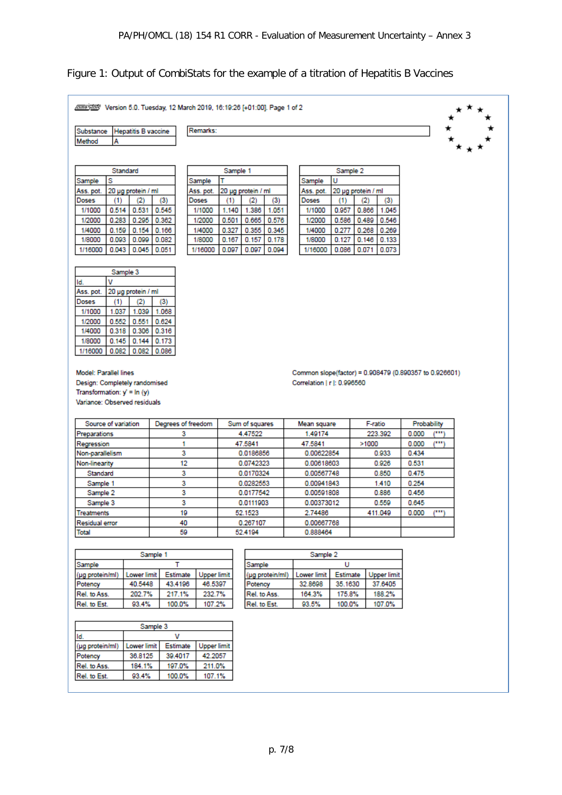### Figure 1: Output of CombiStats for the example of a titration of Hepatitis B Vaccines

| Remarks:<br><b>Hepatitis B vaccine</b><br>Substance<br>Method<br>А<br>Standard<br>Sample 1<br>Sample 2<br>s<br>U<br>Sample<br>Sample<br>Sample<br>20 µg protein / ml<br>20 µg protein / ml<br>20 µg protein / ml<br>Ass. pot.<br>Ass. pot.<br>Ass. pot.<br>Doses<br>(1)<br>(3)<br>Doses<br>(1)<br>Doses<br>(1)<br>(3)<br>(2)<br>(2)<br>(3)<br>(2)<br>0.514 0.531<br>0.545<br>0.866 1.045<br>1/1000<br>1/1000<br>1.140<br>1.386<br>1.051<br>1/1000<br>0.957<br>$0.283$ $0.295$ 0.362<br>0.576<br>0.546<br>1/2000<br>1/2000<br>0.501<br>0.665<br>1/2000<br>0.586<br>0.489<br>1/4000<br>$0.159$ 0.154 0.166<br>1/4000<br>0.327<br>0.355   0.345<br>1/4000<br>0.277<br>0.268<br>0.269<br>0.082<br>1/8000<br>1/8000<br>0.093<br>0.099<br>0.167<br>0.157<br>0.178<br>1/8000<br>0.127<br>0.146<br>0.133<br>0.043<br>0.045 0.051<br>0.097<br>0.097<br>0.071<br>1/16000<br>1/16000<br>0.094<br>1/16000<br>0.086<br>0.073<br>Sample 3<br>v<br>ld.<br>20 µg protein / ml<br>Ass. pot.<br>(3)<br>Doses<br>(1)<br>(2)<br>1/1000<br>1.037<br>1.039<br>1.068<br>1/2000<br>0.552<br>0.551<br>0.624<br>1/4000<br>0.318<br>0.306<br>0.316<br>1/8000<br>0.145<br>0.144<br>0.173<br>0.082<br>0.082<br>1/16000<br>0.086<br>Model: Parallel lines<br>Common slope(factor) = 0.908479 (0.890357 to 0.926601)<br>Design: Completely randomised<br>Correlation   r  : 0.996560<br>Transformation: $y' = ln (y)$<br>Variance: Observed residuals<br>Source of variation<br>Degrees of freedom<br>Sum of squares<br>F-ratio<br>Probability<br>Mean square<br>$\mu$ iny<br>3<br>4.47522<br>223.392<br>1.49174<br>0.000<br>Preparations<br>دس<br>1<br>0.000<br>47.5841<br>47.5841<br>>1000<br>Regression<br>3<br>0.00622854<br>0.0186856<br>0.933<br>0.434<br>Non-parallelism<br>12<br>0.0742323<br>0.926<br>0.531<br>Non-linearity<br>0.00618603<br>3<br>0.850<br>Standard<br>0.475<br>0.0170324<br>0.00567748<br>3<br>0.254<br>Sample 1<br>0.0282553<br>0.00941843<br>1.410<br>3<br>Sample 2<br>0.0177542<br>0.00591808<br>0.886<br>0.456<br>3<br>0.0111903<br>0.00373012<br>0.559<br>0.645<br>Sample 3<br>است<br>19<br>2.74486<br>411.049<br>0.000<br>52.1523<br><b>Treatments</b><br>40<br>0.267107<br>0.00667768<br>Residual error<br>59<br>52.4194<br>0.888464<br>Total<br>Sample 1<br>Sample 2<br>Sample<br>т<br>Sample<br>U<br>(µg protein/ml)<br>Lower limit<br>Estimate<br><b>Upper limit</b><br>(µg protein/ml)<br><b>Lower limit</b><br>Estimate<br><b>Upper limit</b><br>40.5448<br>43.4196<br>46.5397<br>Potency<br>32.8698<br>35.1630<br>37.6405<br>Potency<br>Rel. to Ass.<br>202.7%<br>217.1%<br>232.7%<br>Rel. to Ass.<br>164.3%<br>175.8%<br>188.2%<br>Rel. to Est.<br>93.4%<br>107.2%<br>Rel. to Est.<br>93.5%<br>100.0%<br>107.0%<br>100.0%<br>Sample 3<br>v<br>Id.<br>(µg protein/ml)<br>Lower limit<br>Estimate<br><b>Upper limit</b><br>36.8125<br>Potency<br>39.4017<br>42.2057<br>184.1%<br>211.0%<br>Rel. to Ass.<br>197.0%<br>Rel. to Est.<br>93.4%<br>100.0%<br>107.1% | A 2019 / 401:00]. Page 1 of 2 March 2019, 18:19:26 [+01:00]. Page 1 of 2 |  |  |  |  |  |  |  |  |  |  |  |  |
|------------------------------------------------------------------------------------------------------------------------------------------------------------------------------------------------------------------------------------------------------------------------------------------------------------------------------------------------------------------------------------------------------------------------------------------------------------------------------------------------------------------------------------------------------------------------------------------------------------------------------------------------------------------------------------------------------------------------------------------------------------------------------------------------------------------------------------------------------------------------------------------------------------------------------------------------------------------------------------------------------------------------------------------------------------------------------------------------------------------------------------------------------------------------------------------------------------------------------------------------------------------------------------------------------------------------------------------------------------------------------------------------------------------------------------------------------------------------------------------------------------------------------------------------------------------------------------------------------------------------------------------------------------------------------------------------------------------------------------------------------------------------------------------------------------------------------------------------------------------------------------------------------------------------------------------------------------------------------------------------------------------------------------------------------------------------------------------------------------------------------------------------------------------------------------------------------------------------------------------------------------------------------------------------------------------------------------------------------------------------------------------------------------------------------------------------------------------------------------------------------------------------------------------------------------------------------------------------------------------------------------------------------------------------------------------------------------------------------------------------------------------------------------------------------------------------------------------------------------------------------------------------------------------------------------------------------------------------|--------------------------------------------------------------------------|--|--|--|--|--|--|--|--|--|--|--|--|
|                                                                                                                                                                                                                                                                                                                                                                                                                                                                                                                                                                                                                                                                                                                                                                                                                                                                                                                                                                                                                                                                                                                                                                                                                                                                                                                                                                                                                                                                                                                                                                                                                                                                                                                                                                                                                                                                                                                                                                                                                                                                                                                                                                                                                                                                                                                                                                                                                                                                                                                                                                                                                                                                                                                                                                                                                                                                                                                                                                        |                                                                          |  |  |  |  |  |  |  |  |  |  |  |  |
|                                                                                                                                                                                                                                                                                                                                                                                                                                                                                                                                                                                                                                                                                                                                                                                                                                                                                                                                                                                                                                                                                                                                                                                                                                                                                                                                                                                                                                                                                                                                                                                                                                                                                                                                                                                                                                                                                                                                                                                                                                                                                                                                                                                                                                                                                                                                                                                                                                                                                                                                                                                                                                                                                                                                                                                                                                                                                                                                                                        |                                                                          |  |  |  |  |  |  |  |  |  |  |  |  |
|                                                                                                                                                                                                                                                                                                                                                                                                                                                                                                                                                                                                                                                                                                                                                                                                                                                                                                                                                                                                                                                                                                                                                                                                                                                                                                                                                                                                                                                                                                                                                                                                                                                                                                                                                                                                                                                                                                                                                                                                                                                                                                                                                                                                                                                                                                                                                                                                                                                                                                                                                                                                                                                                                                                                                                                                                                                                                                                                                                        |                                                                          |  |  |  |  |  |  |  |  |  |  |  |  |
|                                                                                                                                                                                                                                                                                                                                                                                                                                                                                                                                                                                                                                                                                                                                                                                                                                                                                                                                                                                                                                                                                                                                                                                                                                                                                                                                                                                                                                                                                                                                                                                                                                                                                                                                                                                                                                                                                                                                                                                                                                                                                                                                                                                                                                                                                                                                                                                                                                                                                                                                                                                                                                                                                                                                                                                                                                                                                                                                                                        |                                                                          |  |  |  |  |  |  |  |  |  |  |  |  |
|                                                                                                                                                                                                                                                                                                                                                                                                                                                                                                                                                                                                                                                                                                                                                                                                                                                                                                                                                                                                                                                                                                                                                                                                                                                                                                                                                                                                                                                                                                                                                                                                                                                                                                                                                                                                                                                                                                                                                                                                                                                                                                                                                                                                                                                                                                                                                                                                                                                                                                                                                                                                                                                                                                                                                                                                                                                                                                                                                                        |                                                                          |  |  |  |  |  |  |  |  |  |  |  |  |
|                                                                                                                                                                                                                                                                                                                                                                                                                                                                                                                                                                                                                                                                                                                                                                                                                                                                                                                                                                                                                                                                                                                                                                                                                                                                                                                                                                                                                                                                                                                                                                                                                                                                                                                                                                                                                                                                                                                                                                                                                                                                                                                                                                                                                                                                                                                                                                                                                                                                                                                                                                                                                                                                                                                                                                                                                                                                                                                                                                        |                                                                          |  |  |  |  |  |  |  |  |  |  |  |  |
|                                                                                                                                                                                                                                                                                                                                                                                                                                                                                                                                                                                                                                                                                                                                                                                                                                                                                                                                                                                                                                                                                                                                                                                                                                                                                                                                                                                                                                                                                                                                                                                                                                                                                                                                                                                                                                                                                                                                                                                                                                                                                                                                                                                                                                                                                                                                                                                                                                                                                                                                                                                                                                                                                                                                                                                                                                                                                                                                                                        |                                                                          |  |  |  |  |  |  |  |  |  |  |  |  |
|                                                                                                                                                                                                                                                                                                                                                                                                                                                                                                                                                                                                                                                                                                                                                                                                                                                                                                                                                                                                                                                                                                                                                                                                                                                                                                                                                                                                                                                                                                                                                                                                                                                                                                                                                                                                                                                                                                                                                                                                                                                                                                                                                                                                                                                                                                                                                                                                                                                                                                                                                                                                                                                                                                                                                                                                                                                                                                                                                                        |                                                                          |  |  |  |  |  |  |  |  |  |  |  |  |
|                                                                                                                                                                                                                                                                                                                                                                                                                                                                                                                                                                                                                                                                                                                                                                                                                                                                                                                                                                                                                                                                                                                                                                                                                                                                                                                                                                                                                                                                                                                                                                                                                                                                                                                                                                                                                                                                                                                                                                                                                                                                                                                                                                                                                                                                                                                                                                                                                                                                                                                                                                                                                                                                                                                                                                                                                                                                                                                                                                        |                                                                          |  |  |  |  |  |  |  |  |  |  |  |  |
|                                                                                                                                                                                                                                                                                                                                                                                                                                                                                                                                                                                                                                                                                                                                                                                                                                                                                                                                                                                                                                                                                                                                                                                                                                                                                                                                                                                                                                                                                                                                                                                                                                                                                                                                                                                                                                                                                                                                                                                                                                                                                                                                                                                                                                                                                                                                                                                                                                                                                                                                                                                                                                                                                                                                                                                                                                                                                                                                                                        |                                                                          |  |  |  |  |  |  |  |  |  |  |  |  |
|                                                                                                                                                                                                                                                                                                                                                                                                                                                                                                                                                                                                                                                                                                                                                                                                                                                                                                                                                                                                                                                                                                                                                                                                                                                                                                                                                                                                                                                                                                                                                                                                                                                                                                                                                                                                                                                                                                                                                                                                                                                                                                                                                                                                                                                                                                                                                                                                                                                                                                                                                                                                                                                                                                                                                                                                                                                                                                                                                                        |                                                                          |  |  |  |  |  |  |  |  |  |  |  |  |
|                                                                                                                                                                                                                                                                                                                                                                                                                                                                                                                                                                                                                                                                                                                                                                                                                                                                                                                                                                                                                                                                                                                                                                                                                                                                                                                                                                                                                                                                                                                                                                                                                                                                                                                                                                                                                                                                                                                                                                                                                                                                                                                                                                                                                                                                                                                                                                                                                                                                                                                                                                                                                                                                                                                                                                                                                                                                                                                                                                        |                                                                          |  |  |  |  |  |  |  |  |  |  |  |  |
|                                                                                                                                                                                                                                                                                                                                                                                                                                                                                                                                                                                                                                                                                                                                                                                                                                                                                                                                                                                                                                                                                                                                                                                                                                                                                                                                                                                                                                                                                                                                                                                                                                                                                                                                                                                                                                                                                                                                                                                                                                                                                                                                                                                                                                                                                                                                                                                                                                                                                                                                                                                                                                                                                                                                                                                                                                                                                                                                                                        |                                                                          |  |  |  |  |  |  |  |  |  |  |  |  |
|                                                                                                                                                                                                                                                                                                                                                                                                                                                                                                                                                                                                                                                                                                                                                                                                                                                                                                                                                                                                                                                                                                                                                                                                                                                                                                                                                                                                                                                                                                                                                                                                                                                                                                                                                                                                                                                                                                                                                                                                                                                                                                                                                                                                                                                                                                                                                                                                                                                                                                                                                                                                                                                                                                                                                                                                                                                                                                                                                                        |                                                                          |  |  |  |  |  |  |  |  |  |  |  |  |
|                                                                                                                                                                                                                                                                                                                                                                                                                                                                                                                                                                                                                                                                                                                                                                                                                                                                                                                                                                                                                                                                                                                                                                                                                                                                                                                                                                                                                                                                                                                                                                                                                                                                                                                                                                                                                                                                                                                                                                                                                                                                                                                                                                                                                                                                                                                                                                                                                                                                                                                                                                                                                                                                                                                                                                                                                                                                                                                                                                        |                                                                          |  |  |  |  |  |  |  |  |  |  |  |  |
|                                                                                                                                                                                                                                                                                                                                                                                                                                                                                                                                                                                                                                                                                                                                                                                                                                                                                                                                                                                                                                                                                                                                                                                                                                                                                                                                                                                                                                                                                                                                                                                                                                                                                                                                                                                                                                                                                                                                                                                                                                                                                                                                                                                                                                                                                                                                                                                                                                                                                                                                                                                                                                                                                                                                                                                                                                                                                                                                                                        |                                                                          |  |  |  |  |  |  |  |  |  |  |  |  |
|                                                                                                                                                                                                                                                                                                                                                                                                                                                                                                                                                                                                                                                                                                                                                                                                                                                                                                                                                                                                                                                                                                                                                                                                                                                                                                                                                                                                                                                                                                                                                                                                                                                                                                                                                                                                                                                                                                                                                                                                                                                                                                                                                                                                                                                                                                                                                                                                                                                                                                                                                                                                                                                                                                                                                                                                                                                                                                                                                                        |                                                                          |  |  |  |  |  |  |  |  |  |  |  |  |
|                                                                                                                                                                                                                                                                                                                                                                                                                                                                                                                                                                                                                                                                                                                                                                                                                                                                                                                                                                                                                                                                                                                                                                                                                                                                                                                                                                                                                                                                                                                                                                                                                                                                                                                                                                                                                                                                                                                                                                                                                                                                                                                                                                                                                                                                                                                                                                                                                                                                                                                                                                                                                                                                                                                                                                                                                                                                                                                                                                        |                                                                          |  |  |  |  |  |  |  |  |  |  |  |  |
|                                                                                                                                                                                                                                                                                                                                                                                                                                                                                                                                                                                                                                                                                                                                                                                                                                                                                                                                                                                                                                                                                                                                                                                                                                                                                                                                                                                                                                                                                                                                                                                                                                                                                                                                                                                                                                                                                                                                                                                                                                                                                                                                                                                                                                                                                                                                                                                                                                                                                                                                                                                                                                                                                                                                                                                                                                                                                                                                                                        |                                                                          |  |  |  |  |  |  |  |  |  |  |  |  |
|                                                                                                                                                                                                                                                                                                                                                                                                                                                                                                                                                                                                                                                                                                                                                                                                                                                                                                                                                                                                                                                                                                                                                                                                                                                                                                                                                                                                                                                                                                                                                                                                                                                                                                                                                                                                                                                                                                                                                                                                                                                                                                                                                                                                                                                                                                                                                                                                                                                                                                                                                                                                                                                                                                                                                                                                                                                                                                                                                                        |                                                                          |  |  |  |  |  |  |  |  |  |  |  |  |
|                                                                                                                                                                                                                                                                                                                                                                                                                                                                                                                                                                                                                                                                                                                                                                                                                                                                                                                                                                                                                                                                                                                                                                                                                                                                                                                                                                                                                                                                                                                                                                                                                                                                                                                                                                                                                                                                                                                                                                                                                                                                                                                                                                                                                                                                                                                                                                                                                                                                                                                                                                                                                                                                                                                                                                                                                                                                                                                                                                        |                                                                          |  |  |  |  |  |  |  |  |  |  |  |  |
|                                                                                                                                                                                                                                                                                                                                                                                                                                                                                                                                                                                                                                                                                                                                                                                                                                                                                                                                                                                                                                                                                                                                                                                                                                                                                                                                                                                                                                                                                                                                                                                                                                                                                                                                                                                                                                                                                                                                                                                                                                                                                                                                                                                                                                                                                                                                                                                                                                                                                                                                                                                                                                                                                                                                                                                                                                                                                                                                                                        |                                                                          |  |  |  |  |  |  |  |  |  |  |  |  |
|                                                                                                                                                                                                                                                                                                                                                                                                                                                                                                                                                                                                                                                                                                                                                                                                                                                                                                                                                                                                                                                                                                                                                                                                                                                                                                                                                                                                                                                                                                                                                                                                                                                                                                                                                                                                                                                                                                                                                                                                                                                                                                                                                                                                                                                                                                                                                                                                                                                                                                                                                                                                                                                                                                                                                                                                                                                                                                                                                                        |                                                                          |  |  |  |  |  |  |  |  |  |  |  |  |
|                                                                                                                                                                                                                                                                                                                                                                                                                                                                                                                                                                                                                                                                                                                                                                                                                                                                                                                                                                                                                                                                                                                                                                                                                                                                                                                                                                                                                                                                                                                                                                                                                                                                                                                                                                                                                                                                                                                                                                                                                                                                                                                                                                                                                                                                                                                                                                                                                                                                                                                                                                                                                                                                                                                                                                                                                                                                                                                                                                        |                                                                          |  |  |  |  |  |  |  |  |  |  |  |  |
|                                                                                                                                                                                                                                                                                                                                                                                                                                                                                                                                                                                                                                                                                                                                                                                                                                                                                                                                                                                                                                                                                                                                                                                                                                                                                                                                                                                                                                                                                                                                                                                                                                                                                                                                                                                                                                                                                                                                                                                                                                                                                                                                                                                                                                                                                                                                                                                                                                                                                                                                                                                                                                                                                                                                                                                                                                                                                                                                                                        |                                                                          |  |  |  |  |  |  |  |  |  |  |  |  |
|                                                                                                                                                                                                                                                                                                                                                                                                                                                                                                                                                                                                                                                                                                                                                                                                                                                                                                                                                                                                                                                                                                                                                                                                                                                                                                                                                                                                                                                                                                                                                                                                                                                                                                                                                                                                                                                                                                                                                                                                                                                                                                                                                                                                                                                                                                                                                                                                                                                                                                                                                                                                                                                                                                                                                                                                                                                                                                                                                                        |                                                                          |  |  |  |  |  |  |  |  |  |  |  |  |
|                                                                                                                                                                                                                                                                                                                                                                                                                                                                                                                                                                                                                                                                                                                                                                                                                                                                                                                                                                                                                                                                                                                                                                                                                                                                                                                                                                                                                                                                                                                                                                                                                                                                                                                                                                                                                                                                                                                                                                                                                                                                                                                                                                                                                                                                                                                                                                                                                                                                                                                                                                                                                                                                                                                                                                                                                                                                                                                                                                        |                                                                          |  |  |  |  |  |  |  |  |  |  |  |  |
|                                                                                                                                                                                                                                                                                                                                                                                                                                                                                                                                                                                                                                                                                                                                                                                                                                                                                                                                                                                                                                                                                                                                                                                                                                                                                                                                                                                                                                                                                                                                                                                                                                                                                                                                                                                                                                                                                                                                                                                                                                                                                                                                                                                                                                                                                                                                                                                                                                                                                                                                                                                                                                                                                                                                                                                                                                                                                                                                                                        |                                                                          |  |  |  |  |  |  |  |  |  |  |  |  |
|                                                                                                                                                                                                                                                                                                                                                                                                                                                                                                                                                                                                                                                                                                                                                                                                                                                                                                                                                                                                                                                                                                                                                                                                                                                                                                                                                                                                                                                                                                                                                                                                                                                                                                                                                                                                                                                                                                                                                                                                                                                                                                                                                                                                                                                                                                                                                                                                                                                                                                                                                                                                                                                                                                                                                                                                                                                                                                                                                                        |                                                                          |  |  |  |  |  |  |  |  |  |  |  |  |
|                                                                                                                                                                                                                                                                                                                                                                                                                                                                                                                                                                                                                                                                                                                                                                                                                                                                                                                                                                                                                                                                                                                                                                                                                                                                                                                                                                                                                                                                                                                                                                                                                                                                                                                                                                                                                                                                                                                                                                                                                                                                                                                                                                                                                                                                                                                                                                                                                                                                                                                                                                                                                                                                                                                                                                                                                                                                                                                                                                        |                                                                          |  |  |  |  |  |  |  |  |  |  |  |  |
|                                                                                                                                                                                                                                                                                                                                                                                                                                                                                                                                                                                                                                                                                                                                                                                                                                                                                                                                                                                                                                                                                                                                                                                                                                                                                                                                                                                                                                                                                                                                                                                                                                                                                                                                                                                                                                                                                                                                                                                                                                                                                                                                                                                                                                                                                                                                                                                                                                                                                                                                                                                                                                                                                                                                                                                                                                                                                                                                                                        |                                                                          |  |  |  |  |  |  |  |  |  |  |  |  |
|                                                                                                                                                                                                                                                                                                                                                                                                                                                                                                                                                                                                                                                                                                                                                                                                                                                                                                                                                                                                                                                                                                                                                                                                                                                                                                                                                                                                                                                                                                                                                                                                                                                                                                                                                                                                                                                                                                                                                                                                                                                                                                                                                                                                                                                                                                                                                                                                                                                                                                                                                                                                                                                                                                                                                                                                                                                                                                                                                                        |                                                                          |  |  |  |  |  |  |  |  |  |  |  |  |
|                                                                                                                                                                                                                                                                                                                                                                                                                                                                                                                                                                                                                                                                                                                                                                                                                                                                                                                                                                                                                                                                                                                                                                                                                                                                                                                                                                                                                                                                                                                                                                                                                                                                                                                                                                                                                                                                                                                                                                                                                                                                                                                                                                                                                                                                                                                                                                                                                                                                                                                                                                                                                                                                                                                                                                                                                                                                                                                                                                        |                                                                          |  |  |  |  |  |  |  |  |  |  |  |  |
|                                                                                                                                                                                                                                                                                                                                                                                                                                                                                                                                                                                                                                                                                                                                                                                                                                                                                                                                                                                                                                                                                                                                                                                                                                                                                                                                                                                                                                                                                                                                                                                                                                                                                                                                                                                                                                                                                                                                                                                                                                                                                                                                                                                                                                                                                                                                                                                                                                                                                                                                                                                                                                                                                                                                                                                                                                                                                                                                                                        |                                                                          |  |  |  |  |  |  |  |  |  |  |  |  |
|                                                                                                                                                                                                                                                                                                                                                                                                                                                                                                                                                                                                                                                                                                                                                                                                                                                                                                                                                                                                                                                                                                                                                                                                                                                                                                                                                                                                                                                                                                                                                                                                                                                                                                                                                                                                                                                                                                                                                                                                                                                                                                                                                                                                                                                                                                                                                                                                                                                                                                                                                                                                                                                                                                                                                                                                                                                                                                                                                                        |                                                                          |  |  |  |  |  |  |  |  |  |  |  |  |
|                                                                                                                                                                                                                                                                                                                                                                                                                                                                                                                                                                                                                                                                                                                                                                                                                                                                                                                                                                                                                                                                                                                                                                                                                                                                                                                                                                                                                                                                                                                                                                                                                                                                                                                                                                                                                                                                                                                                                                                                                                                                                                                                                                                                                                                                                                                                                                                                                                                                                                                                                                                                                                                                                                                                                                                                                                                                                                                                                                        |                                                                          |  |  |  |  |  |  |  |  |  |  |  |  |
|                                                                                                                                                                                                                                                                                                                                                                                                                                                                                                                                                                                                                                                                                                                                                                                                                                                                                                                                                                                                                                                                                                                                                                                                                                                                                                                                                                                                                                                                                                                                                                                                                                                                                                                                                                                                                                                                                                                                                                                                                                                                                                                                                                                                                                                                                                                                                                                                                                                                                                                                                                                                                                                                                                                                                                                                                                                                                                                                                                        |                                                                          |  |  |  |  |  |  |  |  |  |  |  |  |
|                                                                                                                                                                                                                                                                                                                                                                                                                                                                                                                                                                                                                                                                                                                                                                                                                                                                                                                                                                                                                                                                                                                                                                                                                                                                                                                                                                                                                                                                                                                                                                                                                                                                                                                                                                                                                                                                                                                                                                                                                                                                                                                                                                                                                                                                                                                                                                                                                                                                                                                                                                                                                                                                                                                                                                                                                                                                                                                                                                        |                                                                          |  |  |  |  |  |  |  |  |  |  |  |  |
|                                                                                                                                                                                                                                                                                                                                                                                                                                                                                                                                                                                                                                                                                                                                                                                                                                                                                                                                                                                                                                                                                                                                                                                                                                                                                                                                                                                                                                                                                                                                                                                                                                                                                                                                                                                                                                                                                                                                                                                                                                                                                                                                                                                                                                                                                                                                                                                                                                                                                                                                                                                                                                                                                                                                                                                                                                                                                                                                                                        |                                                                          |  |  |  |  |  |  |  |  |  |  |  |  |
|                                                                                                                                                                                                                                                                                                                                                                                                                                                                                                                                                                                                                                                                                                                                                                                                                                                                                                                                                                                                                                                                                                                                                                                                                                                                                                                                                                                                                                                                                                                                                                                                                                                                                                                                                                                                                                                                                                                                                                                                                                                                                                                                                                                                                                                                                                                                                                                                                                                                                                                                                                                                                                                                                                                                                                                                                                                                                                                                                                        |                                                                          |  |  |  |  |  |  |  |  |  |  |  |  |
|                                                                                                                                                                                                                                                                                                                                                                                                                                                                                                                                                                                                                                                                                                                                                                                                                                                                                                                                                                                                                                                                                                                                                                                                                                                                                                                                                                                                                                                                                                                                                                                                                                                                                                                                                                                                                                                                                                                                                                                                                                                                                                                                                                                                                                                                                                                                                                                                                                                                                                                                                                                                                                                                                                                                                                                                                                                                                                                                                                        |                                                                          |  |  |  |  |  |  |  |  |  |  |  |  |
|                                                                                                                                                                                                                                                                                                                                                                                                                                                                                                                                                                                                                                                                                                                                                                                                                                                                                                                                                                                                                                                                                                                                                                                                                                                                                                                                                                                                                                                                                                                                                                                                                                                                                                                                                                                                                                                                                                                                                                                                                                                                                                                                                                                                                                                                                                                                                                                                                                                                                                                                                                                                                                                                                                                                                                                                                                                                                                                                                                        |                                                                          |  |  |  |  |  |  |  |  |  |  |  |  |
|                                                                                                                                                                                                                                                                                                                                                                                                                                                                                                                                                                                                                                                                                                                                                                                                                                                                                                                                                                                                                                                                                                                                                                                                                                                                                                                                                                                                                                                                                                                                                                                                                                                                                                                                                                                                                                                                                                                                                                                                                                                                                                                                                                                                                                                                                                                                                                                                                                                                                                                                                                                                                                                                                                                                                                                                                                                                                                                                                                        |                                                                          |  |  |  |  |  |  |  |  |  |  |  |  |
|                                                                                                                                                                                                                                                                                                                                                                                                                                                                                                                                                                                                                                                                                                                                                                                                                                                                                                                                                                                                                                                                                                                                                                                                                                                                                                                                                                                                                                                                                                                                                                                                                                                                                                                                                                                                                                                                                                                                                                                                                                                                                                                                                                                                                                                                                                                                                                                                                                                                                                                                                                                                                                                                                                                                                                                                                                                                                                                                                                        |                                                                          |  |  |  |  |  |  |  |  |  |  |  |  |
|                                                                                                                                                                                                                                                                                                                                                                                                                                                                                                                                                                                                                                                                                                                                                                                                                                                                                                                                                                                                                                                                                                                                                                                                                                                                                                                                                                                                                                                                                                                                                                                                                                                                                                                                                                                                                                                                                                                                                                                                                                                                                                                                                                                                                                                                                                                                                                                                                                                                                                                                                                                                                                                                                                                                                                                                                                                                                                                                                                        |                                                                          |  |  |  |  |  |  |  |  |  |  |  |  |
|                                                                                                                                                                                                                                                                                                                                                                                                                                                                                                                                                                                                                                                                                                                                                                                                                                                                                                                                                                                                                                                                                                                                                                                                                                                                                                                                                                                                                                                                                                                                                                                                                                                                                                                                                                                                                                                                                                                                                                                                                                                                                                                                                                                                                                                                                                                                                                                                                                                                                                                                                                                                                                                                                                                                                                                                                                                                                                                                                                        |                                                                          |  |  |  |  |  |  |  |  |  |  |  |  |
|                                                                                                                                                                                                                                                                                                                                                                                                                                                                                                                                                                                                                                                                                                                                                                                                                                                                                                                                                                                                                                                                                                                                                                                                                                                                                                                                                                                                                                                                                                                                                                                                                                                                                                                                                                                                                                                                                                                                                                                                                                                                                                                                                                                                                                                                                                                                                                                                                                                                                                                                                                                                                                                                                                                                                                                                                                                                                                                                                                        |                                                                          |  |  |  |  |  |  |  |  |  |  |  |  |
|                                                                                                                                                                                                                                                                                                                                                                                                                                                                                                                                                                                                                                                                                                                                                                                                                                                                                                                                                                                                                                                                                                                                                                                                                                                                                                                                                                                                                                                                                                                                                                                                                                                                                                                                                                                                                                                                                                                                                                                                                                                                                                                                                                                                                                                                                                                                                                                                                                                                                                                                                                                                                                                                                                                                                                                                                                                                                                                                                                        |                                                                          |  |  |  |  |  |  |  |  |  |  |  |  |
|                                                                                                                                                                                                                                                                                                                                                                                                                                                                                                                                                                                                                                                                                                                                                                                                                                                                                                                                                                                                                                                                                                                                                                                                                                                                                                                                                                                                                                                                                                                                                                                                                                                                                                                                                                                                                                                                                                                                                                                                                                                                                                                                                                                                                                                                                                                                                                                                                                                                                                                                                                                                                                                                                                                                                                                                                                                                                                                                                                        |                                                                          |  |  |  |  |  |  |  |  |  |  |  |  |
|                                                                                                                                                                                                                                                                                                                                                                                                                                                                                                                                                                                                                                                                                                                                                                                                                                                                                                                                                                                                                                                                                                                                                                                                                                                                                                                                                                                                                                                                                                                                                                                                                                                                                                                                                                                                                                                                                                                                                                                                                                                                                                                                                                                                                                                                                                                                                                                                                                                                                                                                                                                                                                                                                                                                                                                                                                                                                                                                                                        |                                                                          |  |  |  |  |  |  |  |  |  |  |  |  |
|                                                                                                                                                                                                                                                                                                                                                                                                                                                                                                                                                                                                                                                                                                                                                                                                                                                                                                                                                                                                                                                                                                                                                                                                                                                                                                                                                                                                                                                                                                                                                                                                                                                                                                                                                                                                                                                                                                                                                                                                                                                                                                                                                                                                                                                                                                                                                                                                                                                                                                                                                                                                                                                                                                                                                                                                                                                                                                                                                                        |                                                                          |  |  |  |  |  |  |  |  |  |  |  |  |
|                                                                                                                                                                                                                                                                                                                                                                                                                                                                                                                                                                                                                                                                                                                                                                                                                                                                                                                                                                                                                                                                                                                                                                                                                                                                                                                                                                                                                                                                                                                                                                                                                                                                                                                                                                                                                                                                                                                                                                                                                                                                                                                                                                                                                                                                                                                                                                                                                                                                                                                                                                                                                                                                                                                                                                                                                                                                                                                                                                        |                                                                          |  |  |  |  |  |  |  |  |  |  |  |  |
|                                                                                                                                                                                                                                                                                                                                                                                                                                                                                                                                                                                                                                                                                                                                                                                                                                                                                                                                                                                                                                                                                                                                                                                                                                                                                                                                                                                                                                                                                                                                                                                                                                                                                                                                                                                                                                                                                                                                                                                                                                                                                                                                                                                                                                                                                                                                                                                                                                                                                                                                                                                                                                                                                                                                                                                                                                                                                                                                                                        |                                                                          |  |  |  |  |  |  |  |  |  |  |  |  |
|                                                                                                                                                                                                                                                                                                                                                                                                                                                                                                                                                                                                                                                                                                                                                                                                                                                                                                                                                                                                                                                                                                                                                                                                                                                                                                                                                                                                                                                                                                                                                                                                                                                                                                                                                                                                                                                                                                                                                                                                                                                                                                                                                                                                                                                                                                                                                                                                                                                                                                                                                                                                                                                                                                                                                                                                                                                                                                                                                                        |                                                                          |  |  |  |  |  |  |  |  |  |  |  |  |